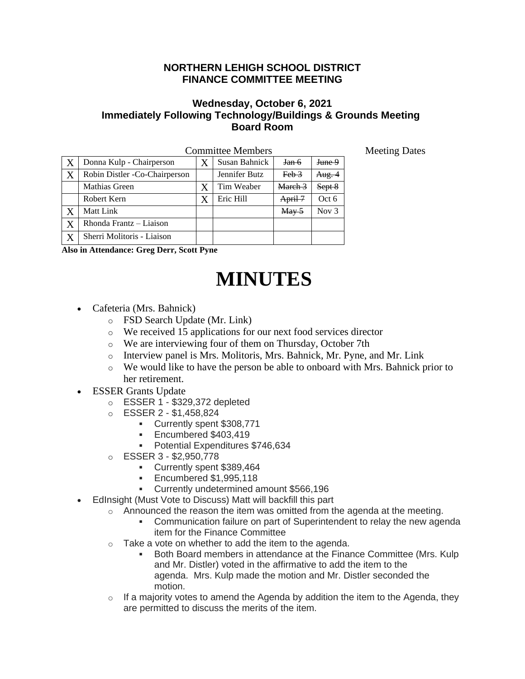## **NORTHERN LEHIGH SCHOOL DISTRICT FINANCE COMMITTEE MEETING**

## **Wednesday, October 6, 2021 Immediately Following Technology/Buildings & Grounds Meeting Board Room**

| <b>Committee Members</b> |                               |  |               |                                       |                   |
|--------------------------|-------------------------------|--|---------------|---------------------------------------|-------------------|
|                          | Donna Kulp - Chairperson      |  | Susan Bahnick | Jan 6                                 | <del>June 9</del> |
| X                        | Robin Distler -Co-Chairperson |  | Jennifer Butz | $Feb$ $\frac{3}{2}$                   | Aug. 4            |
|                          | Mathias Green                 |  | Tim Weaber    | March <sub>3</sub>                    | Sept 8            |
|                          | Robert Kern                   |  | Eric Hill     | April 7                               | Oct 6             |
|                          | Matt Link                     |  |               | $\frac{\text{May } 5}{\text{May } 5}$ | Nov $3$           |
| X                        | Rhonda Frantz - Liaison       |  |               |                                       |                   |
|                          | Sherri Molitoris - Liaison    |  |               |                                       |                   |

**Also in Attendance: Greg Derr, Scott Pyne** 

## **MINUTES**

- Cafeteria (Mrs. Bahnick)
	- o FSD Search Update (Mr. Link)
	- o We received 15 applications for our next food services director
	- o We are interviewing four of them on Thursday, October 7th
	- o Interview panel is Mrs. Molitoris, Mrs. Bahnick, Mr. Pyne, and Mr. Link
	- $\circ$  We would like to have the person be able to onboard with Mrs. Bahnick prior to her retirement.
- ESSER Grants Update
	- o ESSER 1 \$329,372 depleted
	- o ESSER 2 \$1,458,824
		- Currently spent \$308,771
		- **Encumbered \$403,419**
		- Potential Expenditures \$746,634
	- o ESSER 3 \$2,950,778
		- Currently spent \$389,464
		- Encumbered \$1,995,118
		- Currently undetermined amount \$566,196
- EdInsight (Must Vote to Discuss) Matt will backfill this part
	- $\circ$  Announced the reason the item was omitted from the agenda at the meeting.
		- Communication failure on part of Superintendent to relay the new agenda item for the Finance Committee
	- o Take a vote on whether to add the item to the agenda.
		- Both Board members in attendance at the Finance Committee (Mrs. Kulp and Mr. Distler) voted in the affirmative to add the item to the agenda. Mrs. Kulp made the motion and Mr. Distler seconded the motion.
	- $\circ$  If a majority votes to amend the Agenda by addition the item to the Agenda, they are permitted to discuss the merits of the item.

Meeting Dates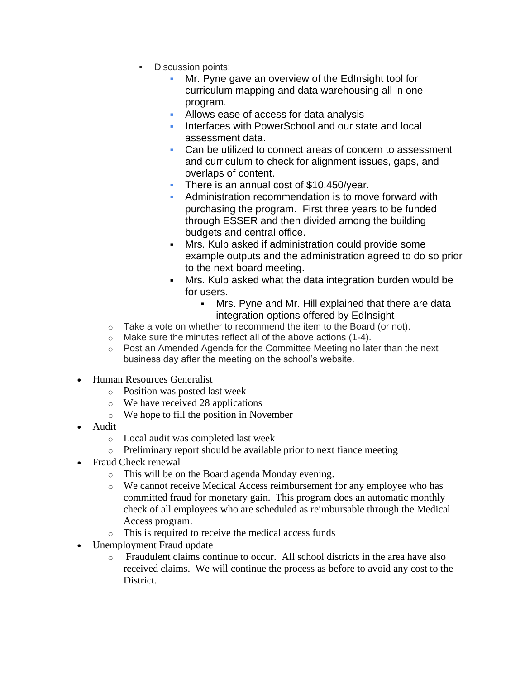- Discussion points:
	- Mr. Pyne gave an overview of the EdInsight tool for curriculum mapping and data warehousing all in one program.
	- **EXEC** Allows ease of access for data analysis
	- **Interfaces with PowerSchool and our state and local** assessment data.
	- Can be utilized to connect areas of concern to assessment and curriculum to check for alignment issues, gaps, and overlaps of content.
	- **There is an annual cost of \$10,450/year.**
	- Administration recommendation is to move forward with purchasing the program. First three years to be funded through ESSER and then divided among the building budgets and central office.
	- Mrs. Kulp asked if administration could provide some example outputs and the administration agreed to do so prior to the next board meeting.
	- Mrs. Kulp asked what the data integration burden would be for users.
		- Mrs. Pyne and Mr. Hill explained that there are data integration options offered by EdInsight
- $\circ$  Take a vote on whether to recommend the item to the Board (or not).
- o Make sure the minutes reflect all of the above actions (1-4).
- $\circ$  Post an Amended Agenda for the Committee Meeting no later than the next business day after the meeting on the school's website.
- Human Resources Generalist
	- o Position was posted last week
	- o We have received 28 applications
	- o We hope to fill the position in November
- Audit
	- o Local audit was completed last week
	- o Preliminary report should be available prior to next fiance meeting
- Fraud Check renewal
	- o This will be on the Board agenda Monday evening.
	- o We cannot receive Medical Access reimbursement for any employee who has committed fraud for monetary gain. This program does an automatic monthly check of all employees who are scheduled as reimbursable through the Medical Access program.
	- o This is required to receive the medical access funds
- Unemployment Fraud update
	- o Fraudulent claims continue to occur. All school districts in the area have also received claims. We will continue the process as before to avoid any cost to the District.